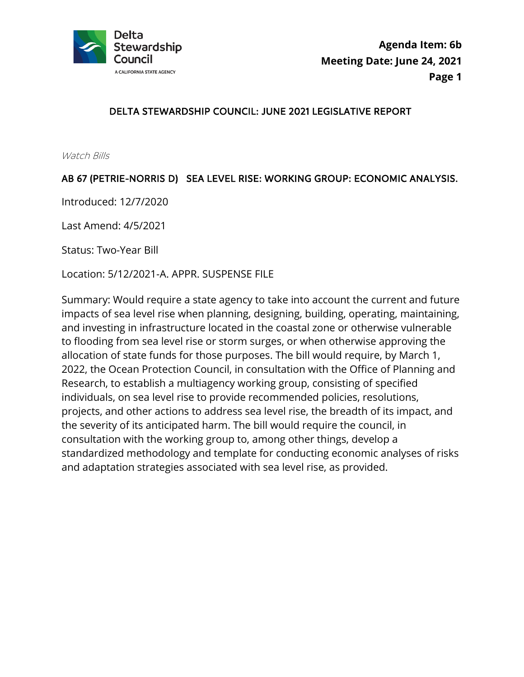

### DELTA STEWARDSHIP COUNCIL: JUNE 2021 LEGISLATIVE REPORT

Watch Bills

### AB 67 (PETRIE-NORRIS D) SEA LEVEL RISE: WORKING GROUP: ECONOMIC ANALYSIS.

Introduced: 12/7/2020

Last Amend: 4/5/2021

Status: Two-Year Bill

Location: 5/12/2021-A. APPR. SUSPENSE FILE

Summary: Would require a state agency to take into account the current and future impacts of sea level rise when planning, designing, building, operating, maintaining, and investing in infrastructure located in the coastal zone or otherwise vulnerable to flooding from sea level rise or storm surges, or when otherwise approving the allocation of state funds for those purposes. The bill would require, by March 1, 2022, the Ocean Protection Council, in consultation with the Office of Planning and Research, to establish a multiagency working group, consisting of specified individuals, on sea level rise to provide recommended policies, resolutions, projects, and other actions to address sea level rise, the breadth of its impact, and the severity of its anticipated harm. The bill would require the council, in consultation with the working group to, among other things, develop a standardized methodology and template for conducting economic analyses of risks and adaptation strategies associated with sea level rise, as provided.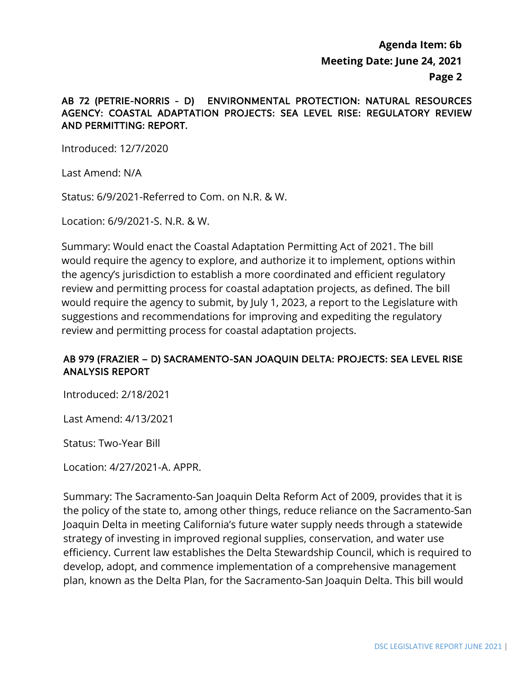### AB 72 (PETRIE-NORRIS - D) ENVIRONMENTAL PROTECTION: NATURAL RESOURCES AGENCY: COASTAL ADAPTATION PROJECTS: SEA LEVEL RISE: REGULATORY REVIEW AND PERMITTING: REPORT.

Introduced: 12/7/2020

Last Amend: N/A

Status: 6/9/2021-Referred to Com. on N.R. & W.

Location: 6/9/2021-S. N.R. & W.

Summary: Would enact the Coastal Adaptation Permitting Act of 2021. The bill would require the agency to explore, and authorize it to implement, options within the agency's jurisdiction to establish a more coordinated and efficient regulatory review and permitting process for coastal adaptation projects, as defined. The bill would require the agency to submit, by July 1, 2023, a report to the Legislature with suggestions and recommendations for improving and expediting the regulatory review and permitting process for coastal adaptation projects.

### AB 979 (FRAZIER – D) SACRAMENTO-SAN JOAQUIN DELTA: PROJECTS: SEA LEVEL RISE ANALYSIS REPORT

Introduced: 2/18/2021

Last Amend: 4/13/2021

Status: Two-Year Bill

Location: 4/27/2021-A. APPR.

Summary: The Sacramento-San Joaquin Delta Reform Act of 2009, provides that it is the policy of the state to, among other things, reduce reliance on the Sacramento-San Joaquin Delta in meeting California's future water supply needs through a statewide strategy of investing in improved regional supplies, conservation, and water use efficiency. Current law establishes the Delta Stewardship Council, which is required to develop, adopt, and commence implementation of a comprehensive management plan, known as the Delta Plan, for the Sacramento-San Joaquin Delta. This bill would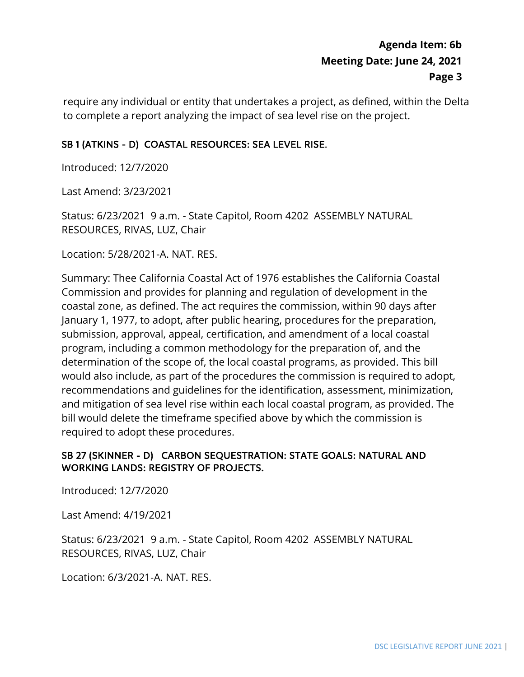require any individual or entity that undertakes a project, as defined, within the Delta to complete a report analyzing the impact of sea level rise on the project.

## SB 1 (ATKINS - D) COASTAL RESOURCES: SEA LEVEL RISE.

Introduced: 12/7/2020

Last Amend: 3/23/2021

 Status: 6/23/2021 9 a.m. - State Capitol, Room 4202 ASSEMBLY NATURAL RESOURCES, RIVAS, LUZ, Chair

Location: 5/28/2021-A. NAT. RES.

 Commission and provides for planning and regulation of development in the determination of the scope of, the local coastal programs, as provided. This bill bill would delete the timeframe specified above by which the commission is required to adopt these procedures. Summary: Thee California Coastal Act of 1976 establishes the California Coastal coastal zone, as defined. The act requires the commission, within 90 days after January 1, 1977, to adopt, after public hearing, procedures for the preparation, submission, approval, appeal, certification, and amendment of a local coastal program, including a common methodology for the preparation of, and the would also include, as part of the procedures the commission is required to adopt, recommendations and guidelines for the identification, assessment, minimization, and mitigation of sea level rise within each local coastal program, as provided. The

### SB 27 (SKINNER - D) CARBON SEQUESTRATION: STATE GOALS: NATURAL AND WORKING LANDS: REGISTRY OF PROJECTS.

Introduced: 12/7/2020

Last Amend: 4/19/2021

 Status: 6/23/2021 9 a.m. - State Capitol, Room 4202 ASSEMBLY NATURAL RESOURCES, RIVAS, LUZ, Chair

Location: 6/3/2021-A. NAT. RES.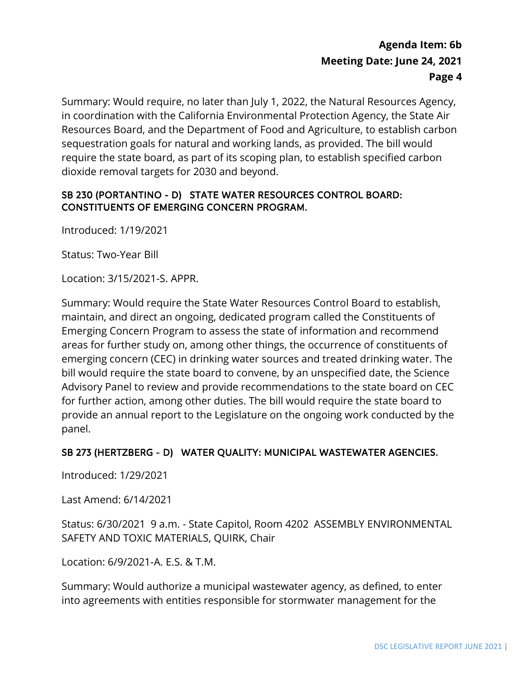Summary: Would require, no later than July 1, 2022, the Natural Resources Agency, in coordination with the California Environmental Protection Agency, the State Air Resources Board, and the Department of Food and Agriculture, to establish carbon sequestration goals for natural and working lands, as provided. The bill would require the state board, as part of its scoping plan, to establish specified carbon dioxide removal targets for 2030 and beyond.

## SB 230 (PORTANTINO - D) STATE WATER RESOURCES CONTROL BOARD: CONSTITUENTS OF EMERGING CONCERN PROGRAM.

Introduced: 1/19/2021

Status: Two-Year Bill

Location: 3/15/2021-S. APPR.

 Advisory Panel to review and provide recommendations to the state board on CEC Summary: Would require the State Water Resources Control Board to establish, maintain, and direct an ongoing, dedicated program called the Constituents of Emerging Concern Program to assess the state of information and recommend areas for further study on, among other things, the occurrence of constituents of emerging concern (CEC) in drinking water sources and treated drinking water. The bill would require the state board to convene, by an unspecified date, the Science for further action, among other duties. The bill would require the state board to provide an annual report to the Legislature on the ongoing work conducted by the panel.

### SB 273 (HERTZBERG - D) WATER QUALITY: MUNICIPAL WASTEWATER AGENCIES.

Introduced: 1/29/2021

Last Amend: 6/14/2021

Status: 6/30/2021 9 a.m. - State Capitol, Room 4202 ASSEMBLY ENVIRONMENTAL SAFETY AND TOXIC MATERIALS, QUIRK, Chair

Location: 6/9/2021-A. E.S. & T.M.

Summary: Would authorize a municipal wastewater agency, as defined, to enter into agreements with entities responsible for stormwater management for the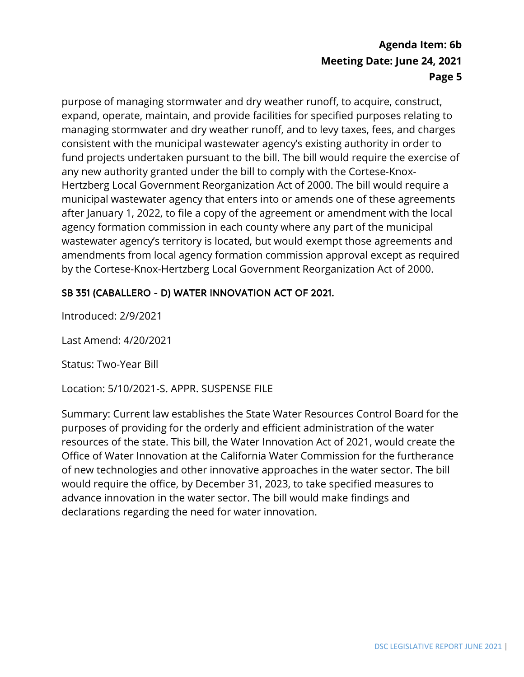consistent with the municipal wastewater agency's existing authority in order to fund projects undertaken pursuant to the bill. The bill would require the exercise of after January 1, 2022, to file a copy of the agreement or amendment with the local purpose of managing stormwater and dry weather runoff, to acquire, construct, expand, operate, maintain, and provide facilities for specified purposes relating to managing stormwater and dry weather runoff, and to levy taxes, fees, and charges any new authority granted under the bill to comply with the Cortese-Knox-Hertzberg Local Government Reorganization Act of 2000. The bill would require a municipal wastewater agency that enters into or amends one of these agreements agency formation commission in each county where any part of the municipal wastewater agency's territory is located, but would exempt those agreements and amendments from local agency formation commission approval except as required by the Cortese-Knox-Hertzberg Local Government Reorganization Act of 2000.

## SB 351 (CABALLERO - D) WATER INNOVATION ACT OF 2021.

Introduced: 2/9/2021

Last Amend: 4/20/2021

Status: Two-Year Bill

Location: 5/10/2021-S. APPR. SUSPENSE FILE

 Summary: Current law establishes the State Water Resources Control Board for the purposes of providing for the orderly and efficient administration of the water resources of the state. This bill, the Water Innovation Act of 2021, would create the Office of Water Innovation at the California Water Commission for the furtherance of new technologies and other innovative approaches in the water sector. The bill would require the office, by December 31, 2023, to take specified measures to advance innovation in the water sector. The bill would make findings and declarations regarding the need for water innovation.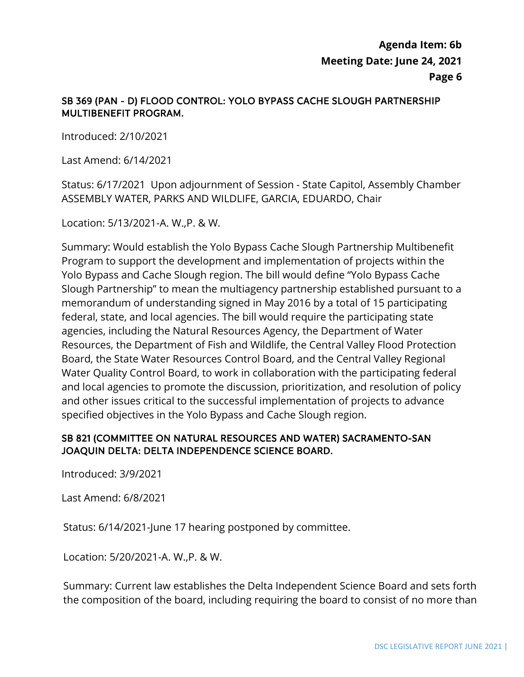## SB 369 (PAN - D) FLOOD CONTROL: YOLO BYPASS CACHE SLOUGH PARTNERSHIP MULTIBENEFIT PROGRAM.

Introduced: 2/10/2021

Last Amend: 6/14/2021

 Status: 6/17/2021 Upon adjournment of Session - State Capitol, Assembly Chamber ASSEMBLY WATER, PARKS AND WILDLIFE, GARCIA, EDUARDO, Chair

Location: 5/13/2021-A. W.,P. & W.

 Yolo Bypass and Cache Slough region. The bill would define "Yolo Bypass Cache and local agencies to promote the discussion, prioritization, and resolution of policy Summary: Would establish the Yolo Bypass Cache Slough Partnership Multibenefit Program to support the development and implementation of projects within the Slough Partnership" to mean the multiagency partnership established pursuant to a memorandum of understanding signed in May 2016 by a total of 15 participating federal, state, and local agencies. The bill would require the participating state agencies, including the Natural Resources Agency, the Department of Water Resources, the Department of Fish and Wildlife, the Central Valley Flood Protection Board, the State Water Resources Control Board, and the Central Valley Regional Water Quality Control Board, to work in collaboration with the participating federal and other issues critical to the successful implementation of projects to advance specified objectives in the Yolo Bypass and Cache Slough region.

### JOAQUIN DELTA: DELTA INDEPENDENCE SCIENCE BOARD. SB 821 (COMMITTEE ON NATURAL RESOURCES AND WATER) SACRAMENTO-SAN

Introduced: 3/9/2021

Last Amend: 6/8/2021

Status: 6/14/2021-June 17 hearing postponed by committee.

Location: 5/20/2021-A. W.,P. & W.

Summary: Current law establishes the Delta Independent Science Board and sets forth the composition of the board, including requiring the board to consist of no more than